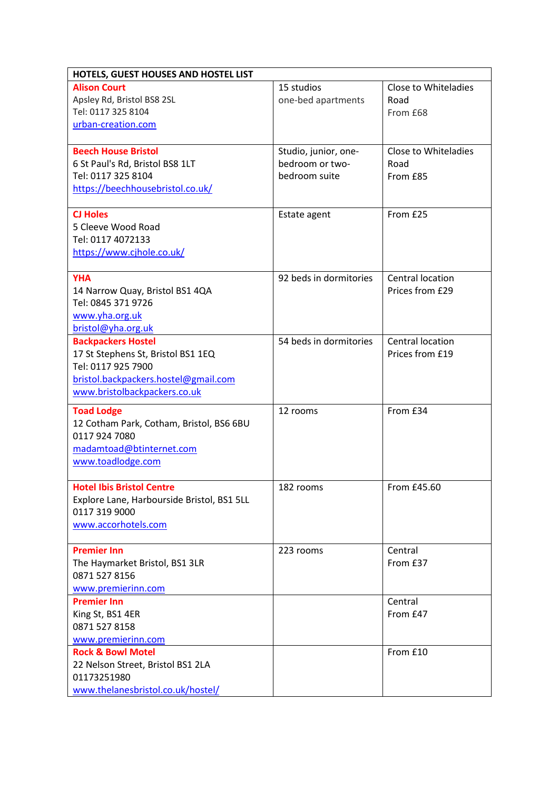| HOTELS, GUEST HOUSES AND HOSTEL LIST               |                        |                             |  |  |
|----------------------------------------------------|------------------------|-----------------------------|--|--|
| <b>Alison Court</b>                                | 15 studios             | <b>Close to Whiteladies</b> |  |  |
| Apsley Rd, Bristol BS8 2SL                         | one-bed apartments     | Road                        |  |  |
| Tel: 0117 325 8104                                 |                        | From £68                    |  |  |
| urban-creation.com                                 |                        |                             |  |  |
|                                                    |                        |                             |  |  |
| <b>Beech House Bristol</b>                         | Studio, junior, one-   | Close to Whiteladies        |  |  |
| 6 St Paul's Rd, Bristol BS8 1LT                    | bedroom or two-        | Road                        |  |  |
| Tel: 0117 325 8104                                 | bedroom suite          | From £85                    |  |  |
| https://beechhousebristol.co.uk/                   |                        |                             |  |  |
| <b>CJ Holes</b>                                    | Estate agent           | From £25                    |  |  |
| 5 Cleeve Wood Road                                 |                        |                             |  |  |
| Tel: 0117 4072133                                  |                        |                             |  |  |
| https://www.cjhole.co.uk/                          |                        |                             |  |  |
|                                                    |                        |                             |  |  |
| <b>YHA</b>                                         | 92 beds in dormitories | Central location            |  |  |
| 14 Narrow Quay, Bristol BS1 4QA                    |                        | Prices from £29             |  |  |
| Tel: 0845 371 9726                                 |                        |                             |  |  |
| www.yha.org.uk                                     |                        |                             |  |  |
| bristol@yha.org.uk                                 |                        |                             |  |  |
| <b>Backpackers Hostel</b>                          | 54 beds in dormitories | Central location            |  |  |
| 17 St Stephens St, Bristol BS1 1EQ                 |                        | Prices from £19             |  |  |
| Tel: 0117 925 7900                                 |                        |                             |  |  |
| bristol.backpackers.hostel@gmail.com               |                        |                             |  |  |
| www.bristolbackpackers.co.uk                       |                        |                             |  |  |
| <b>Toad Lodge</b>                                  | 12 rooms               | From £34                    |  |  |
| 12 Cotham Park, Cotham, Bristol, BS6 6BU           |                        |                             |  |  |
| 0117 924 7080                                      |                        |                             |  |  |
| madamtoad@btinternet.com                           |                        |                             |  |  |
| www.toadlodge.com                                  |                        |                             |  |  |
|                                                    |                        |                             |  |  |
| <b>Hotel Ibis Bristol Centre</b>                   | 182 rooms              | From £45.60                 |  |  |
| Explore Lane, Harbourside Bristol, BS1 5LL         |                        |                             |  |  |
| 0117 319 9000                                      |                        |                             |  |  |
| www.accorhotels.com                                |                        |                             |  |  |
|                                                    |                        |                             |  |  |
| <b>Premier Inn</b>                                 | 223 rooms              | Central                     |  |  |
| The Haymarket Bristol, BS1 3LR<br>0871 527 8156    |                        | From £37                    |  |  |
|                                                    |                        |                             |  |  |
| www.premierinn.com                                 |                        |                             |  |  |
| <b>Premier Inn</b><br>King St, BS1 4ER             |                        | Central<br>From £47         |  |  |
|                                                    |                        |                             |  |  |
| 0871 527 8158                                      |                        |                             |  |  |
| www.premierinn.com<br><b>Rock &amp; Bowl Motel</b> |                        | From £10                    |  |  |
| 22 Nelson Street, Bristol BS1 2LA                  |                        |                             |  |  |
| 01173251980                                        |                        |                             |  |  |
| www.thelanesbristol.co.uk/hostel/                  |                        |                             |  |  |
|                                                    |                        |                             |  |  |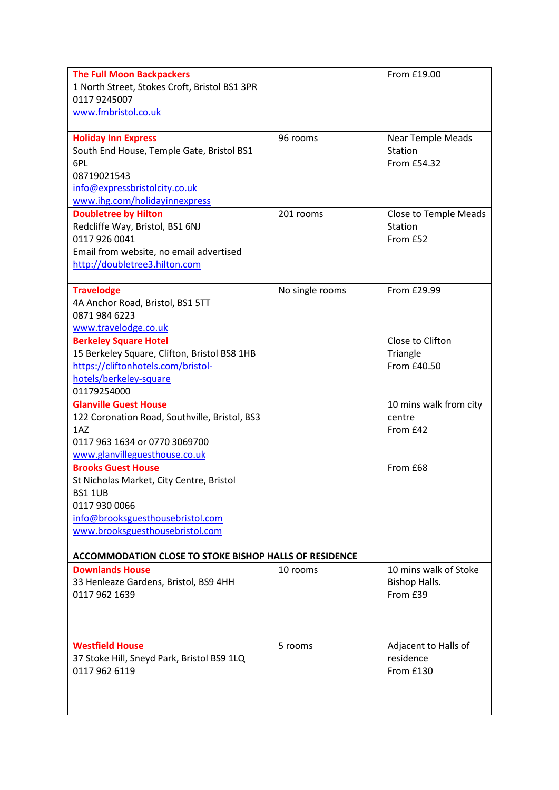| <b>The Full Moon Backpackers</b><br>1 North Street, Stokes Croft, Bristol BS1 3PR<br>0117 9245007<br>www.fmbristol.co.uk                                                        |                 | From £19.00                                         |  |  |
|---------------------------------------------------------------------------------------------------------------------------------------------------------------------------------|-----------------|-----------------------------------------------------|--|--|
| <b>Holiday Inn Express</b><br>South End House, Temple Gate, Bristol BS1<br>6PL<br>08719021543<br>info@expressbristolcity.co.uk<br>www.ihg.com/holidayinnexpress                 | 96 rooms        | <b>Near Temple Meads</b><br>Station<br>From £54.32  |  |  |
| <b>Doubletree by Hilton</b><br>Redcliffe Way, Bristol, BS1 6NJ<br>0117 926 0041<br>Email from website, no email advertised<br>http://doubletree3.hilton.com                     | 201 rooms       | <b>Close to Temple Meads</b><br>Station<br>From £52 |  |  |
| <b>Travelodge</b><br>4A Anchor Road, Bristol, BS1 5TT<br>0871 984 6223<br>www.travelodge.co.uk                                                                                  | No single rooms | From £29.99                                         |  |  |
| <b>Berkeley Square Hotel</b><br>15 Berkeley Square, Clifton, Bristol BS8 1HB<br>https://cliftonhotels.com/bristol-<br>hotels/berkeley-square<br>01179254000                     |                 | Close to Clifton<br>Triangle<br>From £40.50         |  |  |
| <b>Glanville Guest House</b><br>122 Coronation Road, Southville, Bristol, BS3<br>1A <sub>Z</sub><br>0117 963 1634 or 0770 3069700<br>www.glanvilleguesthouse.co.uk              |                 | 10 mins walk from city<br>centre<br>From £42        |  |  |
| <b>Brooks Guest House</b><br>St Nicholas Market, City Centre, Bristol<br><b>BS1 1UB</b><br>0117 930 0066<br>info@brooksguesthousebristol.com<br>www.brooksguesthousebristol.com |                 | From £68                                            |  |  |
| <b>ACCOMMODATION CLOSE TO STOKE BISHOP HALLS OF RESIDENCE</b>                                                                                                                   |                 |                                                     |  |  |
| <b>Downlands House</b><br>33 Henleaze Gardens, Bristol, BS9 4HH<br>0117 962 1639                                                                                                | 10 rooms        | 10 mins walk of Stoke<br>Bishop Halls.<br>From £39  |  |  |
| <b>Westfield House</b><br>37 Stoke Hill, Sneyd Park, Bristol BS9 1LQ<br>0117 962 6119                                                                                           | 5 rooms         | Adjacent to Halls of<br>residence<br>From £130      |  |  |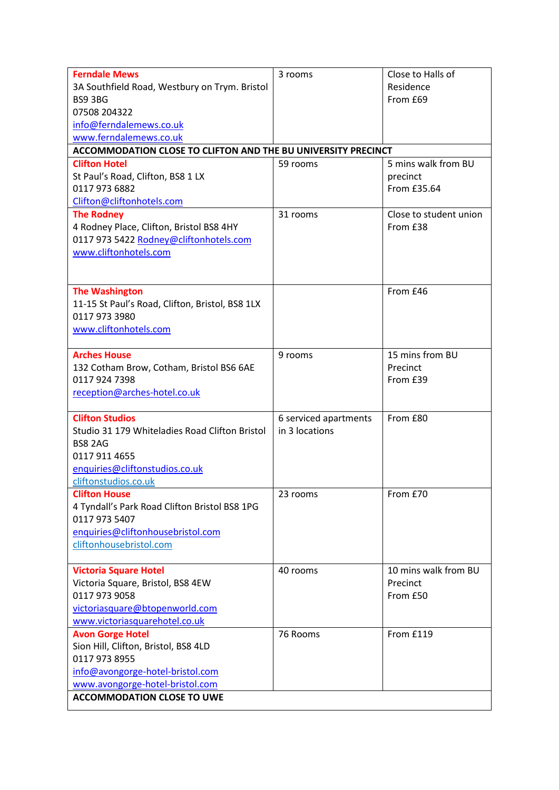| <b>Ferndale Mews</b>                                          | 3 rooms               | Close to Halls of      |  |
|---------------------------------------------------------------|-----------------------|------------------------|--|
| 3A Southfield Road, Westbury on Trym. Bristol                 |                       | Residence              |  |
| BS9 3BG                                                       |                       | From £69               |  |
| 07508 204322                                                  |                       |                        |  |
| info@ferndalemews.co.uk                                       |                       |                        |  |
| www.ferndalemews.co.uk                                        |                       |                        |  |
| ACCOMMODATION CLOSE TO CLIFTON AND THE BU UNIVERSITY PRECINCT |                       |                        |  |
| <b>Clifton Hotel</b>                                          | 59 rooms              | 5 mins walk from BU    |  |
| St Paul's Road, Clifton, BS8 1 LX                             |                       | precinct               |  |
| 0117 973 6882                                                 |                       | From £35.64            |  |
| Clifton@cliftonhotels.com                                     |                       |                        |  |
| <b>The Rodney</b>                                             | 31 rooms              | Close to student union |  |
| 4 Rodney Place, Clifton, Bristol BS8 4HY                      |                       | From £38               |  |
| 0117 973 5422 Rodney@cliftonhotels.com                        |                       |                        |  |
| www.cliftonhotels.com                                         |                       |                        |  |
|                                                               |                       |                        |  |
|                                                               |                       |                        |  |
| <b>The Washington</b>                                         |                       | From £46               |  |
| 11-15 St Paul's Road, Clifton, Bristol, BS8 1LX               |                       |                        |  |
| 0117 973 3980                                                 |                       |                        |  |
| www.cliftonhotels.com                                         |                       |                        |  |
|                                                               |                       |                        |  |
| <b>Arches House</b>                                           | 9 rooms               | 15 mins from BU        |  |
| 132 Cotham Brow, Cotham, Bristol BS6 6AE                      |                       | Precinct               |  |
| 0117 924 7398                                                 |                       | From £39               |  |
| reception@arches-hotel.co.uk                                  |                       |                        |  |
|                                                               |                       |                        |  |
| <b>Clifton Studios</b>                                        | 6 serviced apartments | From £80               |  |
| Studio 31 179 Whiteladies Road Clifton Bristol                | in 3 locations        |                        |  |
| <b>BS8 2AG</b>                                                |                       |                        |  |
| 0117 911 4655                                                 |                       |                        |  |
| enquiries@cliftonstudios.co.uk                                |                       |                        |  |
| cliftonstudios.co.uk                                          |                       |                        |  |
| <b>Clifton House</b>                                          | 23 rooms              | From £70               |  |
| 4 Tyndall's Park Road Clifton Bristol BS8 1PG                 |                       |                        |  |
| 0117 973 5407                                                 |                       |                        |  |
| enquiries@cliftonhousebristol.com                             |                       |                        |  |
| cliftonhousebristol.com                                       |                       |                        |  |
|                                                               |                       |                        |  |
| <b>Victoria Square Hotel</b>                                  | 40 rooms              | 10 mins walk from BU   |  |
| Victoria Square, Bristol, BS8 4EW                             |                       | Precinct               |  |
| 0117 973 9058                                                 |                       | From £50               |  |
| victoriasquare@btopenworld.com                                |                       |                        |  |
| www.victoriasquarehotel.co.uk                                 |                       |                        |  |
| <b>Avon Gorge Hotel</b>                                       | 76 Rooms              | From £119              |  |
| Sion Hill, Clifton, Bristol, BS8 4LD                          |                       |                        |  |
| 0117 973 8955                                                 |                       |                        |  |
| info@avongorge-hotel-bristol.com                              |                       |                        |  |
| www.avongorge-hotel-bristol.com                               |                       |                        |  |
| <b>ACCOMMODATION CLOSE TO UWE</b>                             |                       |                        |  |
|                                                               |                       |                        |  |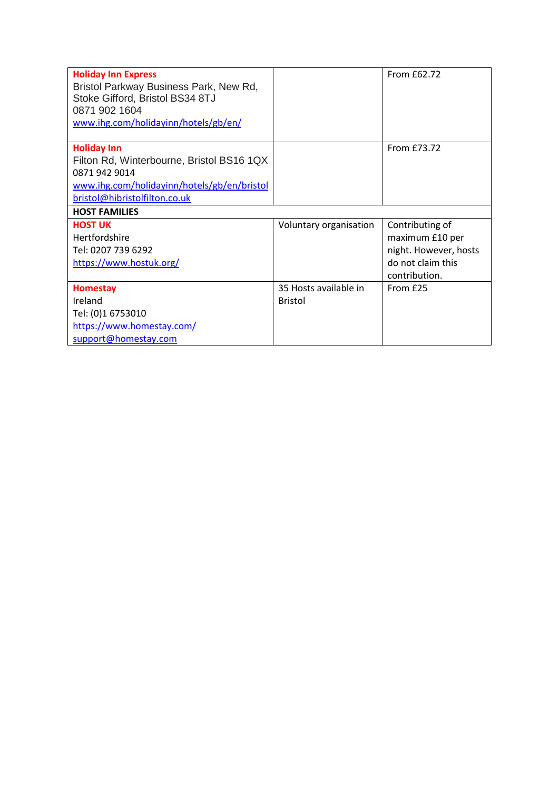| <b>Holiday Inn Express</b><br>Bristol Parkway Business Park, New Rd,<br>Stoke Gifford, Bristol BS34 8TJ<br>0871 902 1604<br>www.ihg.com/holidayinn/hotels/gb/en/ |                        | From £62.72           |
|------------------------------------------------------------------------------------------------------------------------------------------------------------------|------------------------|-----------------------|
| <b>Holiday Inn</b>                                                                                                                                               |                        | From £73.72           |
| Filton Rd, Winterbourne, Bristol BS16 1QX<br>0871 942 9014                                                                                                       |                        |                       |
| www.ihg.com/holidayinn/hotels/gb/en/bristol                                                                                                                      |                        |                       |
| bristol@hibristolfilton.co.uk                                                                                                                                    |                        |                       |
| <b>HOST FAMILIES</b>                                                                                                                                             |                        |                       |
| <b>HOST UK</b>                                                                                                                                                   | Voluntary organisation | Contributing of       |
| Hertfordshire                                                                                                                                                    |                        | maximum £10 per       |
| Tel: 0207 739 6292                                                                                                                                               |                        |                       |
|                                                                                                                                                                  |                        | night. However, hosts |
| https://www.hostuk.org/                                                                                                                                          |                        | do not claim this     |
|                                                                                                                                                                  |                        | contribution.         |
| <b>Homestay</b>                                                                                                                                                  | 35 Hosts available in  | From £25              |
| Ireland                                                                                                                                                          | <b>Bristol</b>         |                       |
| Tel: (0)1 6753010                                                                                                                                                |                        |                       |
| https://www.homestay.com/                                                                                                                                        |                        |                       |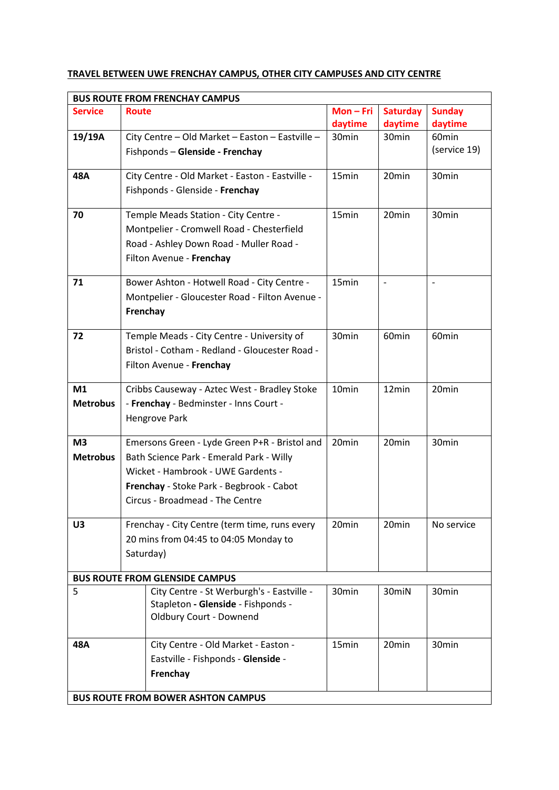## **TRAVEL BETWEEN UWE FRENCHAY CAMPUS, OTHER CITY CAMPUSES AND CITY CENTRE**

| <b>BUS ROUTE FROM FRENCHAY CAMPUS</b>     |                                                 |                   |                          |                   |
|-------------------------------------------|-------------------------------------------------|-------------------|--------------------------|-------------------|
| <b>Service</b>                            | <b>Route</b>                                    | $Mon-Fri$         | <b>Saturday</b>          | <b>Sunday</b>     |
|                                           |                                                 | daytime           | daytime                  | daytime           |
| 19/19A                                    | City Centre - Old Market - Easton - Eastville - | 30min             | 30 <sub>min</sub>        | 60 <sub>min</sub> |
|                                           | Fishponds - Glenside - Frenchay                 |                   |                          | (service 19)      |
| 48A                                       | City Centre - Old Market - Easton - Eastville - | 15min             | 20min                    | 30 <sub>min</sub> |
|                                           | Fishponds - Glenside - Frenchay                 |                   |                          |                   |
| 70                                        | Temple Meads Station - City Centre -            | 15min             | 20min                    | 30 <sub>min</sub> |
|                                           | Montpelier - Cromwell Road - Chesterfield       |                   |                          |                   |
|                                           | Road - Ashley Down Road - Muller Road -         |                   |                          |                   |
|                                           | Filton Avenue - Frenchay                        |                   |                          |                   |
| 71                                        | Bower Ashton - Hotwell Road - City Centre -     | 15 <sub>min</sub> | $\overline{\phantom{a}}$ | $\qquad \qquad -$ |
|                                           | Montpelier - Gloucester Road - Filton Avenue -  |                   |                          |                   |
|                                           | Frenchay                                        |                   |                          |                   |
|                                           |                                                 |                   |                          |                   |
| 72                                        | Temple Meads - City Centre - University of      | 30min             | 60 <sub>min</sub>        | 60 <sub>min</sub> |
|                                           | Bristol - Cotham - Redland - Gloucester Road -  |                   |                          |                   |
|                                           | Filton Avenue - Frenchay                        |                   |                          |                   |
| M1                                        | Cribbs Causeway - Aztec West - Bradley Stoke    | 10min             | 12min                    | 20min             |
| <b>Metrobus</b>                           | - Frenchay - Bedminster - Inns Court -          |                   |                          |                   |
|                                           | Hengrove Park                                   |                   |                          |                   |
|                                           |                                                 |                   |                          |                   |
| M <sub>3</sub>                            | Emersons Green - Lyde Green P+R - Bristol and   | 20min             | 20min                    | 30min             |
| <b>Metrobus</b>                           | Bath Science Park - Emerald Park - Willy        |                   |                          |                   |
|                                           | Wicket - Hambrook - UWE Gardents -              |                   |                          |                   |
|                                           | Frenchay - Stoke Park - Begbrook - Cabot        |                   |                          |                   |
|                                           | Circus - Broadmead - The Centre                 |                   |                          |                   |
| U3                                        | Frenchay - City Centre (term time, runs every   | 20 <sub>min</sub> | 20 <sub>min</sub>        | No service        |
|                                           | 20 mins from 04:45 to 04:05 Monday to           |                   |                          |                   |
|                                           | Saturday)                                       |                   |                          |                   |
|                                           | <b>BUS ROUTE FROM GLENSIDE CAMPUS</b>           |                   |                          |                   |
| 5                                         | City Centre - St Werburgh's - Eastville -       | 30 <sub>min</sub> | 30miN                    | 30 <sub>min</sub> |
|                                           | Stapleton - Glenside - Fishponds -              |                   |                          |                   |
|                                           | <b>Oldbury Court - Downend</b>                  |                   |                          |                   |
|                                           |                                                 |                   |                          |                   |
| 48A                                       | City Centre - Old Market - Easton -             | 15 <sub>min</sub> | 20 <sub>min</sub>        | 30 <sub>min</sub> |
|                                           | Eastville - Fishponds - Glenside -              |                   |                          |                   |
|                                           | Frenchay                                        |                   |                          |                   |
|                                           |                                                 |                   |                          |                   |
| <b>BUS ROUTE FROM BOWER ASHTON CAMPUS</b> |                                                 |                   |                          |                   |